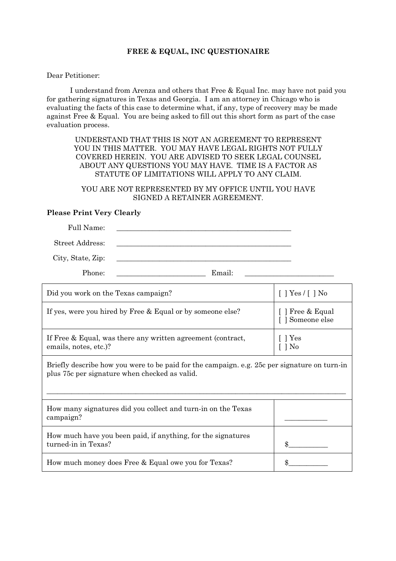### **FREE & EQUAL, INC QUESTIONAIRE**

Dear Petitioner:

 I understand from Arenza and others that Free & Equal Inc. may have not paid you for gathering signatures in Texas and Georgia. I am an attorney in Chicago who is evaluating the facts of this case to determine what, if any, type of recovery may be made against Free & Equal. You are being asked to fill out this short form as part of the case evaluation process.

UNDERSTAND THAT THIS IS NOT AN AGREEMENT TO REPRESENT YOU IN THIS MATTER. YOU MAY HAVE LEGAL RIGHTS NOT FULLY COVERED HEREIN. YOU ARE ADVISED TO SEEK LEGAL COUNSEL ABOUT ANY QUESTIONS YOU MAY HAVE. TIME IS A FACTOR AS STATUTE OF LIMITATIONS WILL APPLY TO ANY CLAIM.

YOU ARE NOT REPRESENTED BY MY OFFICE UNTIL YOU HAVE SIGNED A RETAINER AGREEMENT.

## **Please Print Very Clearly**

Full Name: Street Address: City, State, Zip:

Phone: \_\_\_\_\_\_\_\_\_\_\_\_\_\_\_\_\_\_\_\_\_\_\_\_\_ Email: \_\_\_\_\_\_\_\_\_\_\_\_\_\_\_\_\_\_\_\_\_\_\_\_\_

| Did you work on the Texas campaign?                                                                                                           | $[$ ] Yes $/$ [ ] No                 |  |
|-----------------------------------------------------------------------------------------------------------------------------------------------|--------------------------------------|--|
| If yes, were you hired by Free & Equal or by someone else?                                                                                    | [ ] Free & Equal<br>[ ] Someone else |  |
| If Free & Equal, was there any written agreement (contract,<br>emails, notes, etc.)?                                                          | [ ] Yes<br>[ ] No                    |  |
| Briefly describe how you were to be paid for the campaign. e.g. 25c per signature on turn-in<br>plus 75c per signature when checked as valid. |                                      |  |

| How many signatures did you collect and turn-in on the Texas<br>campaign?           |  |
|-------------------------------------------------------------------------------------|--|
| How much have you been paid, if anything, for the signatures<br>turned-in in Texas? |  |
| How much money does Free & Equal owe you for Texas?                                 |  |

 $\_$  , and the set of the set of the set of the set of the set of the set of the set of the set of the set of the set of the set of the set of the set of the set of the set of the set of the set of the set of the set of th